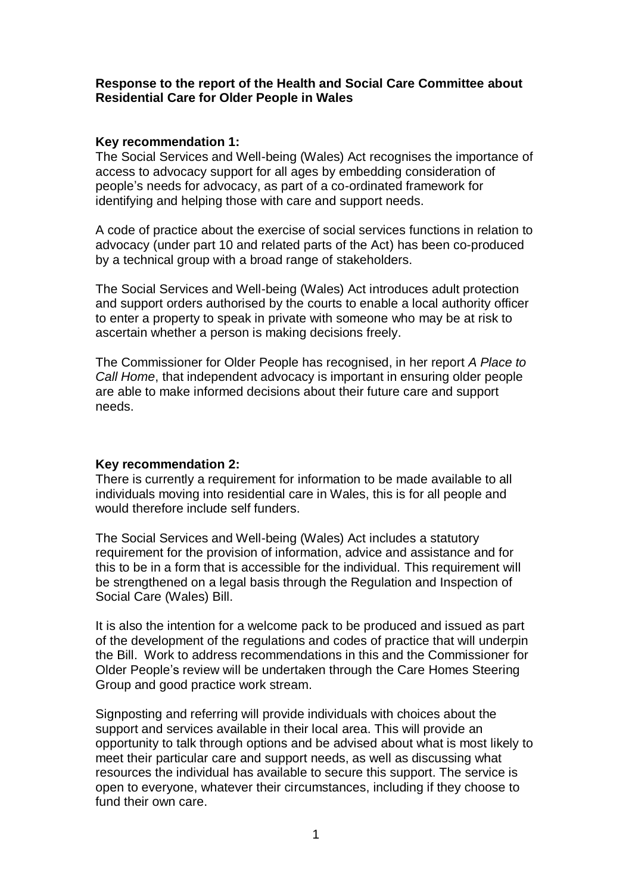# **Response to the report of the Health and Social Care Committee about Residential Care for Older People in Wales**

# **Key recommendation 1:**

The Social Services and Well-being (Wales) Act recognises the importance of access to advocacy support for all ages by embedding consideration of people's needs for advocacy, as part of a co-ordinated framework for identifying and helping those with care and support needs.

A code of practice about the exercise of social services functions in relation to advocacy (under part 10 and related parts of the Act) has been co-produced by a technical group with a broad range of stakeholders.

The Social Services and Well-being (Wales) Act introduces adult protection and support orders authorised by the courts to enable a local authority officer to enter a property to speak in private with someone who may be at risk to ascertain whether a person is making decisions freely.

The Commissioner for Older People has recognised, in her report *A Place to Call Home*, that independent advocacy is important in ensuring older people are able to make informed decisions about their future care and support needs.

### **Key recommendation 2:**

There is currently a requirement for information to be made available to all individuals moving into residential care in Wales, this is for all people and would therefore include self funders.

The Social Services and Well-being (Wales) Act includes a statutory requirement for the provision of information, advice and assistance and for this to be in a form that is accessible for the individual. This requirement will be strengthened on a legal basis through the Regulation and Inspection of Social Care (Wales) Bill.

It is also the intention for a welcome pack to be produced and issued as part of the development of the regulations and codes of practice that will underpin the Bill. Work to address recommendations in this and the Commissioner for Older People's review will be undertaken through the Care Homes Steering Group and good practice work stream.

Signposting and referring will provide individuals with choices about the support and services available in their local area. This will provide an opportunity to talk through options and be advised about what is most likely to meet their particular care and support needs, as well as discussing what resources the individual has available to secure this support. The service is open to everyone, whatever their circumstances, including if they choose to fund their own care.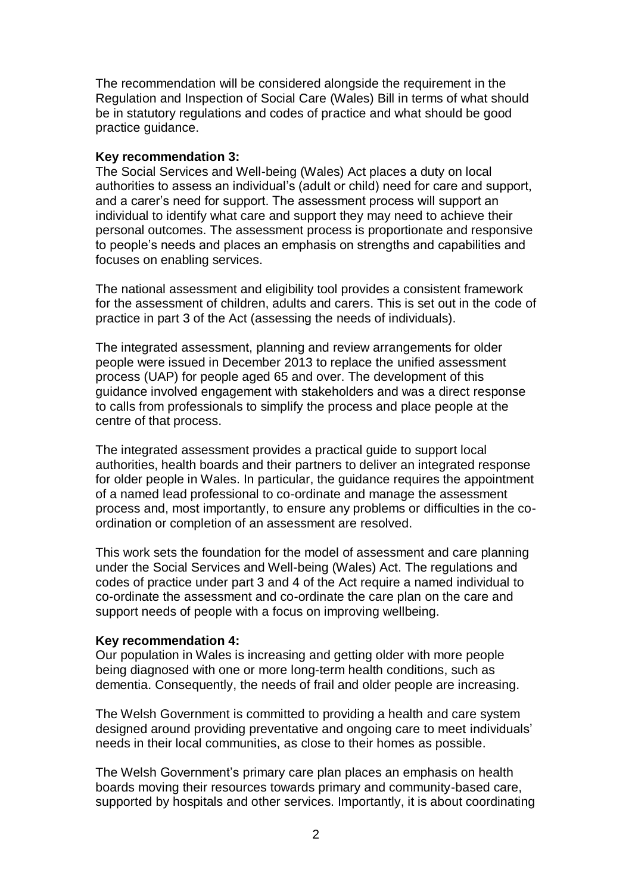The recommendation will be considered alongside the requirement in the Regulation and Inspection of Social Care (Wales) Bill in terms of what should be in statutory regulations and codes of practice and what should be good practice guidance.

### **Key recommendation 3:**

The Social Services and Well-being (Wales) Act places a duty on local authorities to assess an individual's (adult or child) need for care and support, and a carer's need for support. The assessment process will support an individual to identify what care and support they may need to achieve their personal outcomes. The assessment process is proportionate and responsive to people's needs and places an emphasis on strengths and capabilities and focuses on enabling services.

The national assessment and eligibility tool provides a consistent framework for the assessment of children, adults and carers. This is set out in the code of practice in part 3 of the Act (assessing the needs of individuals).

The integrated assessment, planning and review arrangements for older people were issued in December 2013 to replace the unified assessment process (UAP) for people aged 65 and over. The development of this guidance involved engagement with stakeholders and was a direct response to calls from professionals to simplify the process and place people at the centre of that process.

The integrated assessment provides a practical guide to support local authorities, health boards and their partners to deliver an integrated response for older people in Wales. In particular, the guidance requires the appointment of a named lead professional to co-ordinate and manage the assessment process and, most importantly, to ensure any problems or difficulties in the coordination or completion of an assessment are resolved.

This work sets the foundation for the model of assessment and care planning under the Social Services and Well-being (Wales) Act. The regulations and codes of practice under part 3 and 4 of the Act require a named individual to co-ordinate the assessment and co-ordinate the care plan on the care and support needs of people with a focus on improving wellbeing.

### **Key recommendation 4:**

Our population in Wales is increasing and getting older with more people being diagnosed with one or more long-term health conditions, such as dementia. Consequently, the needs of frail and older people are increasing.

The Welsh Government is committed to providing a health and care system designed around providing preventative and ongoing care to meet individuals' needs in their local communities, as close to their homes as possible.

The Welsh Government's primary care plan places an emphasis on health boards moving their resources towards primary and community-based care, supported by hospitals and other services. Importantly, it is about coordinating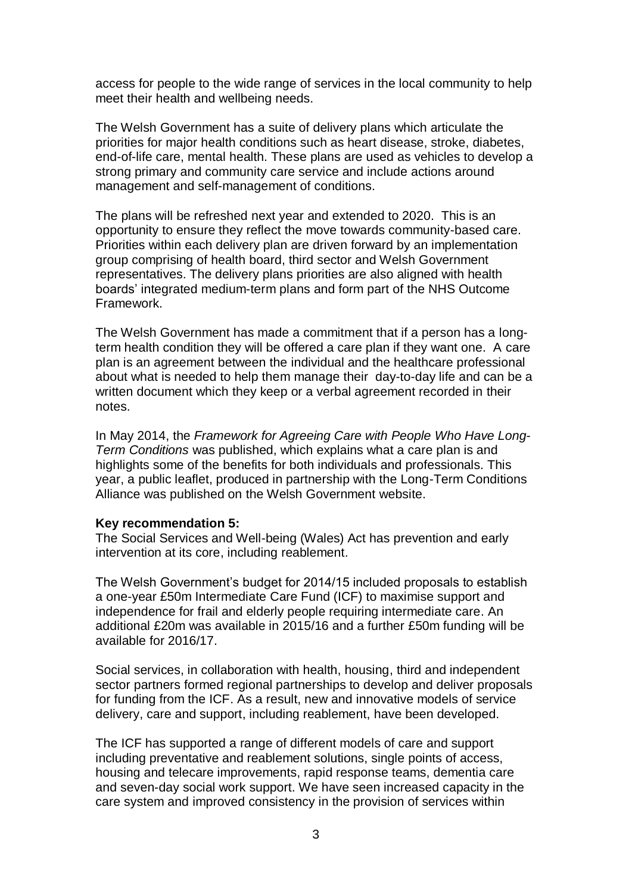access for people to the wide range of services in the local community to help meet their health and wellbeing needs.

The Welsh Government has a suite of delivery plans which articulate the priorities for major health conditions such as heart disease, stroke, diabetes, end-of-life care, mental health. These plans are used as vehicles to develop a strong primary and community care service and include actions around management and self-management of conditions.

The plans will be refreshed next year and extended to 2020. This is an opportunity to ensure they reflect the move towards community-based care. Priorities within each delivery plan are driven forward by an implementation group comprising of health board, third sector and Welsh Government representatives. The delivery plans priorities are also aligned with health boards' integrated medium-term plans and form part of the NHS Outcome Framework.

The Welsh Government has made a commitment that if a person has a longterm health condition they will be offered a care plan if they want one. A care plan is an agreement between the individual and the healthcare professional about what is needed to help them manage their day-to-day life and can be a written document which they keep or a verbal agreement recorded in their notes.

In May 2014, the *Framework for Agreeing Care with People Who Have Long-Term Conditions* was published, which explains what a care plan is and highlights some of the benefits for both individuals and professionals. This year, a public leaflet, produced in partnership with the Long-Term Conditions Alliance was published on the Welsh Government website.

#### **Key recommendation 5:**

The Social Services and Well-being (Wales) Act has prevention and early intervention at its core, including reablement.

The Welsh Government's budget for 2014/15 included proposals to establish a one-year £50m Intermediate Care Fund (ICF) to maximise support and independence for frail and elderly people requiring intermediate care. An additional £20m was available in 2015/16 and a further £50m funding will be available for 2016/17.

Social services, in collaboration with health, housing, third and independent sector partners formed regional partnerships to develop and deliver proposals for funding from the ICF. As a result, new and innovative models of service delivery, care and support, including reablement, have been developed.

The ICF has supported a range of different models of care and support including preventative and reablement solutions, single points of access, housing and telecare improvements, rapid response teams, dementia care and seven-day social work support. We have seen increased capacity in the care system and improved consistency in the provision of services within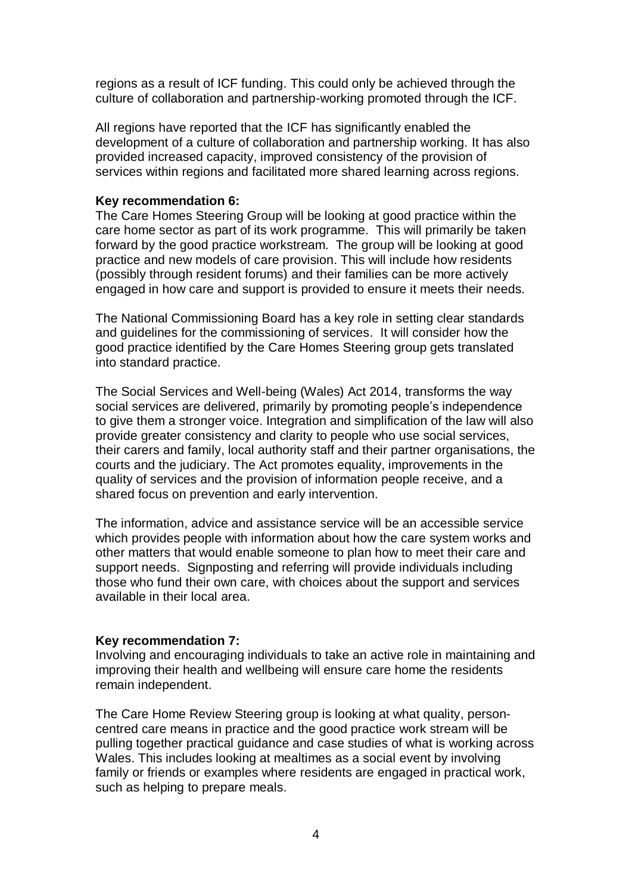regions as a result of ICF funding. This could only be achieved through the culture of collaboration and partnership-working promoted through the ICF.

All regions have reported that the ICF has significantly enabled the development of a culture of collaboration and partnership working. It has also provided increased capacity, improved consistency of the provision of services within regions and facilitated more shared learning across regions.

### **Key recommendation 6:**

The Care Homes Steering Group will be looking at good practice within the care home sector as part of its work programme. This will primarily be taken forward by the good practice workstream. The group will be looking at good practice and new models of care provision. This will include how residents (possibly through resident forums) and their families can be more actively engaged in how care and support is provided to ensure it meets their needs.

The National Commissioning Board has a key role in setting clear standards and guidelines for the commissioning of services. It will consider how the good practice identified by the Care Homes Steering group gets translated into standard practice.

The Social Services and Well-being (Wales) Act 2014, transforms the way social services are delivered, primarily by promoting people's independence to give them a stronger voice. Integration and simplification of the law will also provide greater consistency and clarity to people who use social services, their carers and family, local authority staff and their partner organisations, the courts and the judiciary. The Act promotes equality, improvements in the quality of services and the provision of information people receive, and a shared focus on prevention and early intervention.

The information, advice and assistance service will be an accessible service which provides people with information about how the care system works and other matters that would enable someone to plan how to meet their care and support needs. Signposting and referring will provide individuals including those who fund their own care, with choices about the support and services available in their local area.

# **Key recommendation 7:**

Involving and encouraging individuals to take an active role in maintaining and improving their health and wellbeing will ensure care home the residents remain independent.

The Care Home Review Steering group is looking at what quality, personcentred care means in practice and the good practice work stream will be pulling together practical guidance and case studies of what is working across Wales. This includes looking at mealtimes as a social event by involving family or friends or examples where residents are engaged in practical work, such as helping to prepare meals.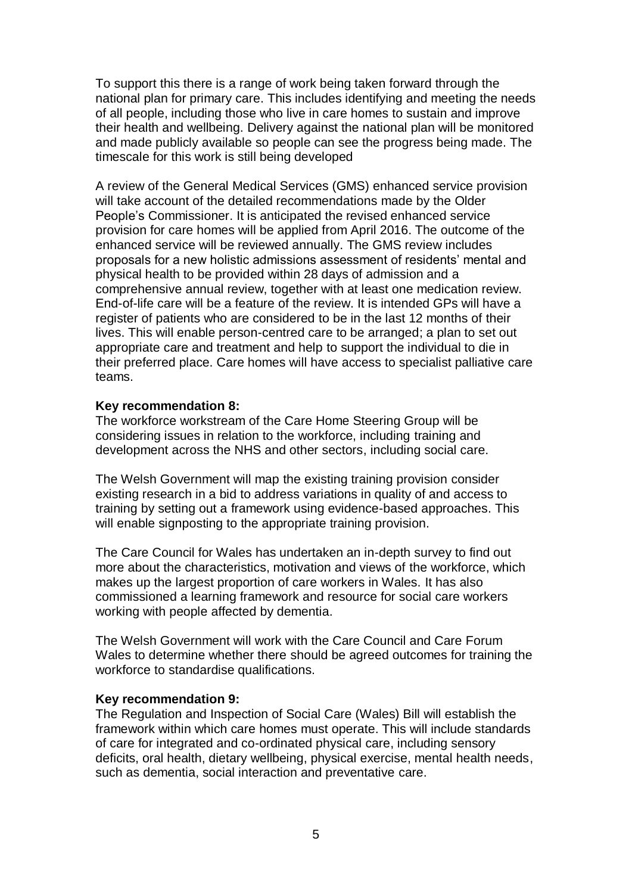To support this there is a range of work being taken forward through the national plan for primary care. This includes identifying and meeting the needs of all people, including those who live in care homes to sustain and improve their health and wellbeing. Delivery against the national plan will be monitored and made publicly available so people can see the progress being made. The timescale for this work is still being developed

A review of the General Medical Services (GMS) enhanced service provision will take account of the detailed recommendations made by the Older People's Commissioner. It is anticipated the revised enhanced service provision for care homes will be applied from April 2016. The outcome of the enhanced service will be reviewed annually. The GMS review includes proposals for a new holistic admissions assessment of residents' mental and physical health to be provided within 28 days of admission and a comprehensive annual review, together with at least one medication review. End-of-life care will be a feature of the review. It is intended GPs will have a register of patients who are considered to be in the last 12 months of their lives. This will enable person-centred care to be arranged; a plan to set out appropriate care and treatment and help to support the individual to die in their preferred place. Care homes will have access to specialist palliative care teams.

### **Key recommendation 8:**

The workforce workstream of the Care Home Steering Group will be considering issues in relation to the workforce, including training and development across the NHS and other sectors, including social care.

The Welsh Government will map the existing training provision consider existing research in a bid to address variations in quality of and access to training by setting out a framework using evidence-based approaches. This will enable signposting to the appropriate training provision.

The Care Council for Wales has undertaken an in-depth survey to find out more about the characteristics, motivation and views of the workforce, which makes up the largest proportion of care workers in Wales. It has also commissioned a learning framework and resource for social care workers working with people affected by dementia.

The Welsh Government will work with the Care Council and Care Forum Wales to determine whether there should be agreed outcomes for training the workforce to standardise qualifications.

### **Key recommendation 9:**

The Regulation and Inspection of Social Care (Wales) Bill will establish the framework within which care homes must operate. This will include standards of care for integrated and co-ordinated physical care, including sensory deficits, oral health, dietary wellbeing, physical exercise, mental health needs, such as dementia, social interaction and preventative care.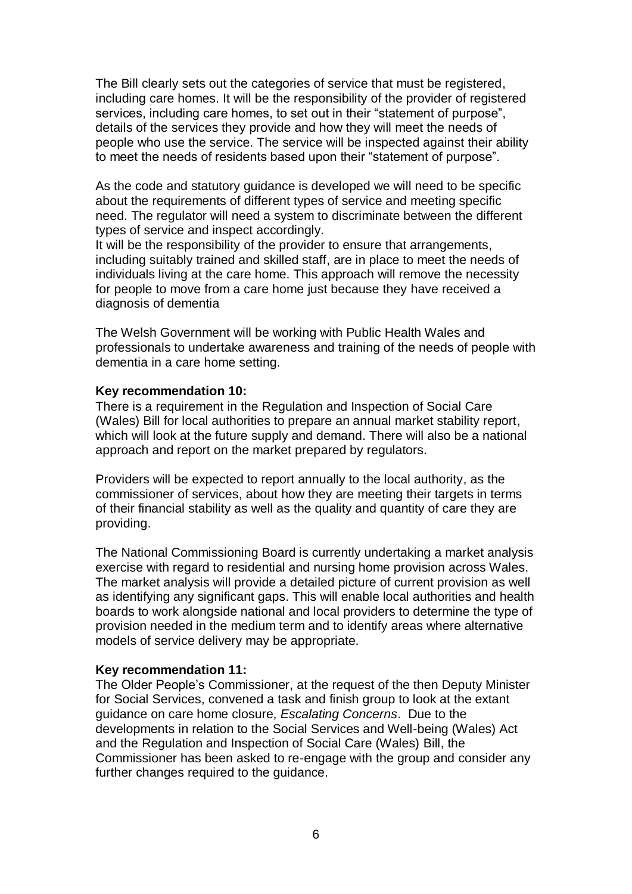The Bill clearly sets out the categories of service that must be registered, including care homes. It will be the responsibility of the provider of registered services, including care homes, to set out in their "statement of purpose", details of the services they provide and how they will meet the needs of people who use the service. The service will be inspected against their ability to meet the needs of residents based upon their "statement of purpose".

As the code and statutory guidance is developed we will need to be specific about the requirements of different types of service and meeting specific need. The regulator will need a system to discriminate between the different types of service and inspect accordingly.

It will be the responsibility of the provider to ensure that arrangements, including suitably trained and skilled staff, are in place to meet the needs of individuals living at the care home. This approach will remove the necessity for people to move from a care home just because they have received a diagnosis of dementia

The Welsh Government will be working with Public Health Wales and professionals to undertake awareness and training of the needs of people with dementia in a care home setting.

### **Key recommendation 10:**

There is a requirement in the Regulation and Inspection of Social Care (Wales) Bill for local authorities to prepare an annual market stability report, which will look at the future supply and demand. There will also be a national approach and report on the market prepared by regulators.

Providers will be expected to report annually to the local authority, as the commissioner of services, about how they are meeting their targets in terms of their financial stability as well as the quality and quantity of care they are providing.

The National Commissioning Board is currently undertaking a market analysis exercise with regard to residential and nursing home provision across Wales. The market analysis will provide a detailed picture of current provision as well as identifying any significant gaps. This will enable local authorities and health boards to work alongside national and local providers to determine the type of provision needed in the medium term and to identify areas where alternative models of service delivery may be appropriate.

### **Key recommendation 11:**

The Older People's Commissioner, at the request of the then Deputy Minister for Social Services, convened a task and finish group to look at the extant guidance on care home closure, *Escalating Concerns*. Due to the developments in relation to the Social Services and Well-being (Wales) Act and the Regulation and Inspection of Social Care (Wales) Bill, the Commissioner has been asked to re-engage with the group and consider any further changes required to the guidance.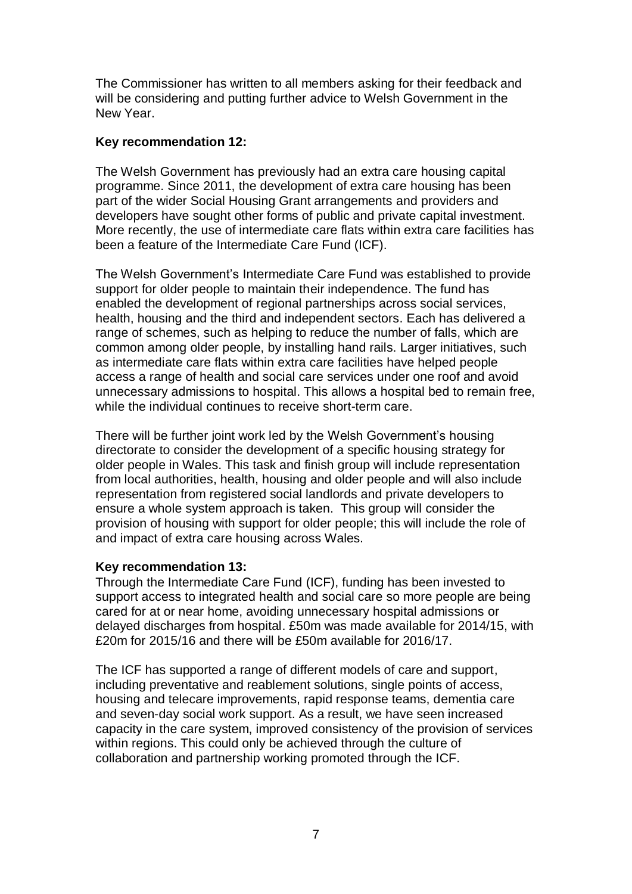The Commissioner has written to all members asking for their feedback and will be considering and putting further advice to Welsh Government in the New Year.

# **Key recommendation 12:**

The Welsh Government has previously had an extra care housing capital programme. Since 2011, the development of extra care housing has been part of the wider Social Housing Grant arrangements and providers and developers have sought other forms of public and private capital investment. More recently, the use of intermediate care flats within extra care facilities has been a feature of the Intermediate Care Fund (ICF).

The Welsh Government's Intermediate Care Fund was established to provide support for older people to maintain their independence. The fund has enabled the development of regional partnerships across social services, health, housing and the third and independent sectors. Each has delivered a range of schemes, such as helping to reduce the number of falls, which are common among older people, by installing hand rails. Larger initiatives, such as intermediate care flats within extra care facilities have helped people access a range of health and social care services under one roof and avoid unnecessary admissions to hospital. This allows a hospital bed to remain free, while the individual continues to receive short-term care.

There will be further joint work led by the Welsh Government's housing directorate to consider the development of a specific housing strategy for older people in Wales. This task and finish group will include representation from local authorities, health, housing and older people and will also include representation from registered social landlords and private developers to ensure a whole system approach is taken. This group will consider the provision of housing with support for older people; this will include the role of and impact of extra care housing across Wales.

# **Key recommendation 13:**

Through the Intermediate Care Fund (ICF), funding has been invested to support access to integrated health and social care so more people are being cared for at or near home, avoiding unnecessary hospital admissions or delayed discharges from hospital. £50m was made available for 2014/15, with £20m for 2015/16 and there will be £50m available for 2016/17.

The ICF has supported a range of different models of care and support, including preventative and reablement solutions, single points of access, housing and telecare improvements, rapid response teams, dementia care and seven-day social work support. As a result, we have seen increased capacity in the care system, improved consistency of the provision of services within regions. This could only be achieved through the culture of collaboration and partnership working promoted through the ICF.